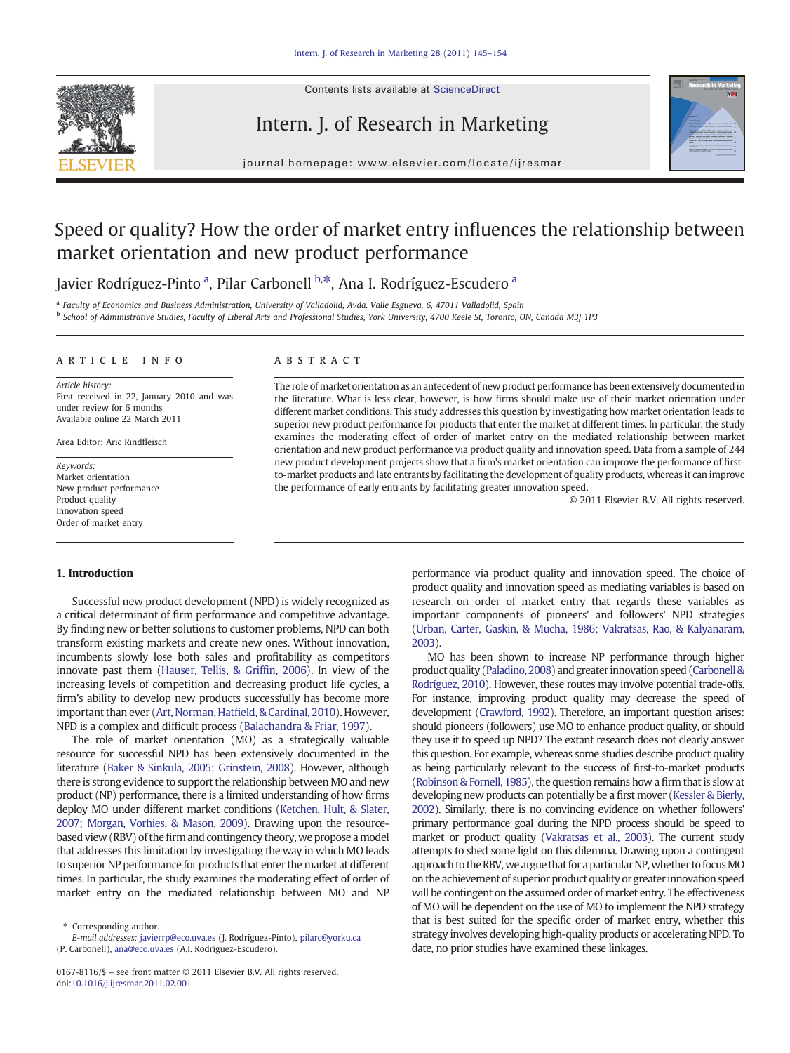

Contents lists available at ScienceDirect

## Intern. J. of Research in Marketing



journal homepage: www.elsevier.com/locate/ijresmar

# Speed or quality? How the order of market entry influences the relationship between market orientation and new product performance

Javier Rodríguez-Pinto <sup>a</sup>, Pilar Carbonell <sup>b,\*</sup>, Ana I. Rodríguez-Escudero <sup>a</sup>

a Faculty of Economics and Business Administration, University of Valladolid, Avda. Valle Esgueva, 6, 47011 Valladolid, Spain <sup>b</sup> School of Administrative Studies, Faculty of Liberal Arts and Professional Studies, York University, 4700 Keele St, Toronto, ON, Canada M3J 1P3

#### article info abstract

Article history: First received in 22, January 2010 and was under review for 6 months Available online 22 March 2011

Area Editor: Aric Rindfleisch

Keywords: Market orientation New product performance Product quality Innovation speed Order of market entry

The role of market orientation as an antecedent of new product performance has been extensively documented in the literature. What is less clear, however, is how firms should make use of their market orientation under different market conditions. This study addresses this question by investigating how market orientation leads to superior new product performance for products that enter the market at different times. In particular, the study examines the moderating effect of order of market entry on the mediated relationship between market orientation and new product performance via product quality and innovation speed. Data from a sample of 244 new product development projects show that a firm's market orientation can improve the performance of firstto-market products and late entrants by facilitating the development of quality products, whereas it can improve the performance of early entrants by facilitating greater innovation speed.

© 2011 Elsevier B.V. All rights reserved.

#### 1. Introduction

Successful new product development (NPD) is widely recognized as a critical determinant of firm performance and competitive advantage. By finding new or better solutions to customer problems, NPD can both transform existing markets and create new ones. Without innovation, incumbents slowly lose both sales and profitability as competitors innovate past them ([Hauser, Tellis, & Grif](#page--1-0)fin, 2006). In view of the increasing levels of competition and decreasing product life cycles, a firm's ability to develop new products successfully has become more important than ever (Art, Norman, Hatfi[eld, & Cardinal, 2010\)](#page--1-0). However, NPD is a complex and difficult process [\(Balachandra & Friar, 1997](#page--1-0)).

The role of market orientation (MO) as a strategically valuable resource for successful NPD has been extensively documented in the literature [\(Baker & Sinkula, 2005; Grinstein, 2008](#page--1-0)). However, although there is strong evidence to support the relationship between MO and new product (NP) performance, there is a limited understanding of how firms deploy MO under different market conditions [\(Ketchen, Hult, & Slater,](#page--1-0) [2007; Morgan, Vorhies, & Mason, 2009](#page--1-0)). Drawing upon the resourcebased view (RBV) of the firm and contingency theory, we propose a model that addresses this limitation by investigating the way in which MO leads to superior NP performance for products that enter the market at different times. In particular, the study examines the moderating effect of order of market entry on the mediated relationship between MO and NP

performance via product quality and innovation speed. The choice of product quality and innovation speed as mediating variables is based on research on order of market entry that regards these variables as important components of pioneers' and followers' NPD strategies [\(Urban, Carter, Gaskin, & Mucha, 1986; Vakratsas, Rao, & Kalyanaram,](#page--1-0) [2003\)](#page--1-0).

MO has been shown to increase NP performance through higher product quality ([Paladino, 2008\)](#page--1-0) and greaterinnovation speed [\(Carbonell &](#page--1-0) [Rodríguez, 2010\)](#page--1-0). However, these routes may involve potential trade-offs. For instance, improving product quality may decrease the speed of development ([Crawford, 1992\)](#page--1-0). Therefore, an important question arises: should pioneers (followers) use MO to enhance product quality, or should they use it to speed up NPD? The extant research does not clearly answer this question. For example, whereas some studies describe product quality as being particularly relevant to the success of first-to-market products [\(Robinson & Fornell, 1985\)](#page--1-0), the question remains how a firm that is slow at developing new products can potentially be a first mover ([Kessler & Bierly,](#page--1-0) [2002\)](#page--1-0). Similarly, there is no convincing evidence on whether followers' primary performance goal during the NPD process should be speed to market or product quality [\(Vakratsas et al., 2003](#page--1-0)). The current study attempts to shed some light on this dilemma. Drawing upon a contingent approach to the RBV, we argue that for a particular NP, whether to focus MO on the achievement of superior product quality or greater innovation speed will be contingent on the assumed order of market entry. The effectiveness of MO will be dependent on the use of MO to implement the NPD strategy that is best suited for the specific order of market entry, whether this strategy involves developing high-quality products or accelerating NPD. To date, no prior studies have examined these linkages.

Corresponding author.

E-mail addresses: [javierrp@eco.uva.es](mailto:javierrp@eco.uva.es) (J. Rodríguez-Pinto), [pilarc@yorku.ca](mailto:pilarc@yorku.ca) (P. Carbonell), [ana@eco.uva.es](mailto:ana@eco.uva.es) (A.I. Rodríguez-Escudero).

<sup>0167-8116/\$</sup> – see front matter © 2011 Elsevier B.V. All rights reserved. doi:[10.1016/j.ijresmar.2011.02.001](http://dx.doi.org/10.1016/j.ijresmar.2011.02.001)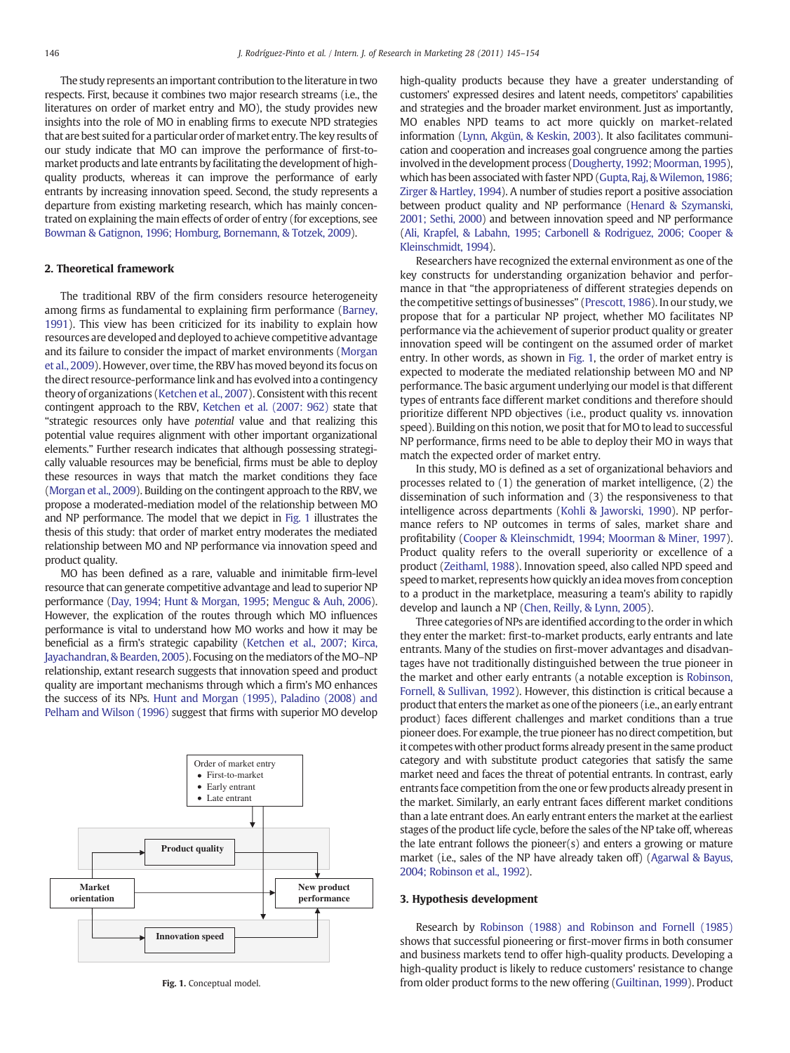The study represents an important contribution to the literature in two respects. First, because it combines two major research streams (i.e., the literatures on order of market entry and MO), the study provides new insights into the role of MO in enabling firms to execute NPD strategies that are best suited for a particular order of market entry. The key results of our study indicate that MO can improve the performance of first-tomarket products and late entrants by facilitating the development of highquality products, whereas it can improve the performance of early entrants by increasing innovation speed. Second, the study represents a departure from existing marketing research, which has mainly concentrated on explaining the main effects of order of entry (for exceptions, see [Bowman & Gatignon, 1996; Homburg, Bornemann, & Totzek, 2009](#page--1-0)).

### 2. Theoretical framework

The traditional RBV of the firm considers resource heterogeneity among firms as fundamental to explaining firm performance [\(Barney,](#page--1-0) [1991\)](#page--1-0). This view has been criticized for its inability to explain how resources are developed and deployed to achieve competitive advantage and its failure to consider the impact of market environments [\(Morgan](#page--1-0) [et al., 2009\)](#page--1-0). However, over time, the RBV has moved beyond its focus on the direct resource-performance link and has evolved into a contingency theory of organizations ([Ketchen et al., 2007](#page--1-0)). Consistent with this recent contingent approach to the RBV, [Ketchen et al. \(2007: 962\)](#page--1-0) state that "strategic resources only have potential value and that realizing this potential value requires alignment with other important organizational elements." Further research indicates that although possessing strategically valuable resources may be beneficial, firms must be able to deploy these resources in ways that match the market conditions they face [\(Morgan et al., 2009](#page--1-0)). Building on the contingent approach to the RBV, we propose a moderated-mediation model of the relationship between MO and NP performance. The model that we depict in Fig. 1 illustrates the thesis of this study: that order of market entry moderates the mediated relationship between MO and NP performance via innovation speed and product quality.

MO has been defined as a rare, valuable and inimitable firm-level resource that can generate competitive advantage and lead to superior NP performance [\(Day, 1994; Hunt & Morgan, 1995;](#page--1-0) [Menguc & Auh, 2006\)](#page--1-0). However, the explication of the routes through which MO influences performance is vital to understand how MO works and how it may be beneficial as a firm's strategic capability [\(Ketchen et al., 2007; Kirca,](#page--1-0) [Jayachandran, & Bearden, 2005](#page--1-0)). Focusing on the mediators of the MO–NP relationship, extant research suggests that innovation speed and product quality are important mechanisms through which a firm's MO enhances the success of its NPs. [Hunt and Morgan \(1995\), Paladino \(2008\) and](#page--1-0) [Pelham and Wilson \(1996\)](#page--1-0) suggest that firms with superior MO develop



Fig. 1. Conceptual model.

high-quality products because they have a greater understanding of customers' expressed desires and latent needs, competitors' capabilities and strategies and the broader market environment. Just as importantly, MO enables NPD teams to act more quickly on market-related information [\(Lynn, Akgün, & Keskin, 2003\)](#page--1-0). It also facilitates communication and cooperation and increases goal congruence among the parties involved in the development process (Dougherty, 1992; Moorman, 1995), which has been associated with faster NPD (Gupta, Raj, & Wilemon, 1986; [Zirger & Hartley, 1994\)](#page--1-0). A number of studies report a positive association between product quality and NP performance ([Henard & Szymanski,](#page--1-0) [2001; Sethi, 2000](#page--1-0)) and between innovation speed and NP performance [\(Ali, Krapfel, & Labahn, 1995; Carbonell & Rodriguez, 2006; Cooper &](#page--1-0) [Kleinschmidt, 1994\)](#page--1-0).

Researchers have recognized the external environment as one of the key constructs for understanding organization behavior and performance in that "the appropriateness of different strategies depends on the competitive settings of businesses" [\(Prescott, 1986\)](#page--1-0). In our study, we propose that for a particular NP project, whether MO facilitates NP performance via the achievement of superior product quality or greater innovation speed will be contingent on the assumed order of market entry. In other words, as shown in Fig. 1, the order of market entry is expected to moderate the mediated relationship between MO and NP performance. The basic argument underlying our model is that different types of entrants face different market conditions and therefore should prioritize different NPD objectives (i.e., product quality vs. innovation speed). Building on this notion, we posit that for MO to lead to successful NP performance, firms need to be able to deploy their MO in ways that match the expected order of market entry.

In this study, MO is defined as a set of organizational behaviors and processes related to (1) the generation of market intelligence, (2) the dissemination of such information and (3) the responsiveness to that intelligence across departments [\(Kohli & Jaworski, 1990](#page--1-0)). NP performance refers to NP outcomes in terms of sales, market share and profitability ([Cooper & Kleinschmidt, 1994; Moorman & Miner, 1997\)](#page--1-0). Product quality refers to the overall superiority or excellence of a product [\(Zeithaml, 1988](#page--1-0)). Innovation speed, also called NPD speed and speed to market, represents how quickly an idea moves from conception to a product in the marketplace, measuring a team's ability to rapidly develop and launch a NP [\(Chen, Reilly, & Lynn, 2005\)](#page--1-0).

Three categories of NPs are identified according to the order in which they enter the market: first-to-market products, early entrants and late entrants. Many of the studies on first-mover advantages and disadvantages have not traditionally distinguished between the true pioneer in the market and other early entrants (a notable exception is [Robinson,](#page--1-0) [Fornell, & Sullivan, 1992](#page--1-0)). However, this distinction is critical because a product that enters the market as one of the pioneers (i.e., an early entrant product) faces different challenges and market conditions than a true pioneer does. For example, the true pioneer has no direct competition, but it competes with other product forms already present in the same product category and with substitute product categories that satisfy the same market need and faces the threat of potential entrants. In contrast, early entrants face competition from the one or few products already present in the market. Similarly, an early entrant faces different market conditions than a late entrant does. An early entrant enters the market at the earliest stages of the product life cycle, before the sales of the NP take off, whereas the late entrant follows the pioneer(s) and enters a growing or mature market (i.e., sales of the NP have already taken off) [\(Agarwal & Bayus,](#page--1-0) [2004; Robinson et al., 1992](#page--1-0)).

#### 3. Hypothesis development

Research by [Robinson \(1988\) and Robinson and Fornell \(1985\)](#page--1-0) shows that successful pioneering or first-mover firms in both consumer and business markets tend to offer high-quality products. Developing a high-quality product is likely to reduce customers' resistance to change from older product forms to the new offering [\(Guiltinan, 1999](#page--1-0)). Product